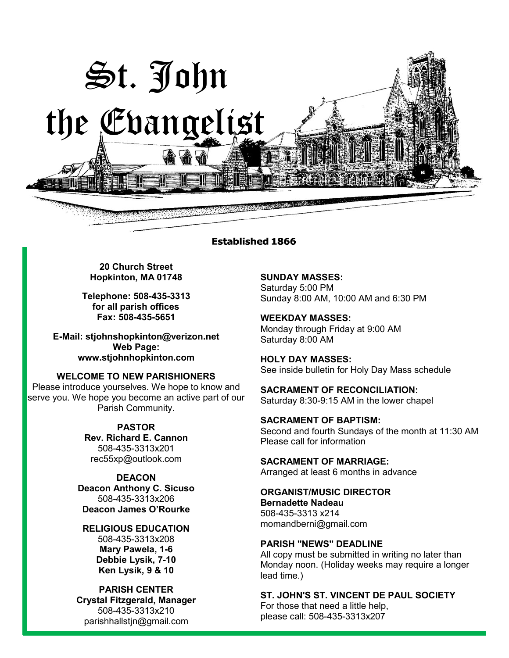

#### **Established 1866**

**20 Church Street Hopkinton, MA 01748**

**Telephone: 508-435-3313 for all parish offices Fax: 508-435-5651**

**E-Mail: [stjohnshopkinton@verizon.net](mailto:stjohnshopkinton@verizon.net) Web Page: [www.stjohnhopkinton.com](http://www.stjohnhopkinton.com/)**

**WELCOME TO NEW PARISHIONERS**

Please introduce yourselves. We hope to know and serve you. We hope you become an active part of our Parish Community.

> **PASTOR Rev. Richard E. Cannon** 508-435-3313x201 [rec55xp@outlook.com](mailto:rec55xp@outlook.com)

**DEACON Deacon Anthony C. Sicuso** 508-435-3313x206 **Deacon James O'Rourke**

**RELIGIOUS EDUCATION** 508-435-3313x208 **Mary Pawela, 1-6 Debbie Lysik, 7-10 Ken Lysik, 9 & 10**

**PARISH CENTER Crystal Fitzgerald, Manager** 508-435-3313x210 parishhallstjn@gmail.com

**SUNDAY MASSES:** Saturday 5:00 PM Sunday 8:00 AM, 10:00 AM and 6:30 PM

**WEEKDAY MASSES:** Monday through Friday at 9:00 AM Saturday 8:00 AM

**HOLY DAY MASSES:** See inside bulletin for Holy Day Mass schedule

**SACRAMENT OF RECONCILIATION:** Saturday 8:30-9:15 AM in the lower chapel

**SACRAMENT OF BAPTISM:** Second and fourth Sundays of the month at 11:30 AM Please call for information

**SACRAMENT OF MARRIAGE:**

Arranged at least 6 months in advance

**ORGANIST/MUSIC DIRECTOR Bernadette Nadeau** 508-435-3313 x214 momandberni@gmail.com

#### **PARISH "NEWS" DEADLINE**

All copy must be submitted in writing no later than Monday noon. (Holiday weeks may require a longer lead time.)

**ST. JOHN'S ST. VINCENT DE PAUL SOCIETY**

For those that need a little help, please call: 508-435-3313x207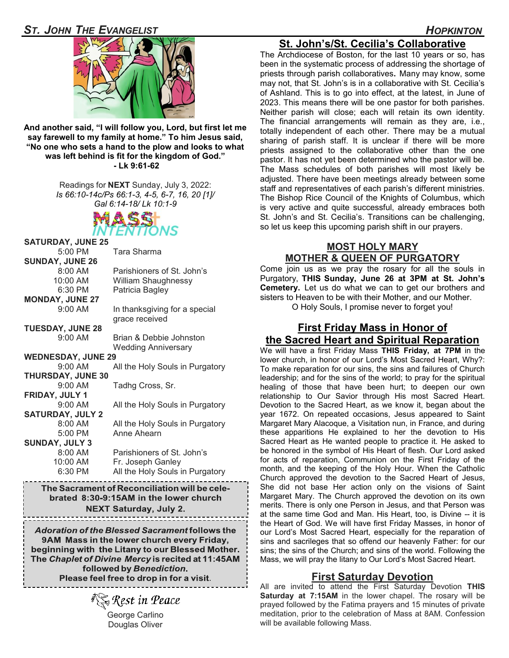

**And another said, "I will follow you, Lord, but first let me say farewell to my family at home." To him Jesus said, "No one who sets a hand to the plow and looks to what was left behind is fit for the kingdom of God." - Lk 9:61-62** 

> Readings for **NEXT** Sunday, July 3, 2022: *Is 66:10-14c/Ps 66:1-3, 4-5, 6-7, 16, 20 [1]/ Gal 6:14-18/ Lk 10:1-9*



| <b>SATURDAY, JUNE 25</b>  |                                               |
|---------------------------|-----------------------------------------------|
| $5:00$ PM                 | Tara Sharma                                   |
| <b>SUNDAY, JUNE 26</b>    |                                               |
| 8:00 AM                   | Parishioners of St. John's                    |
| 10:00 AM                  | <b>William Shaughnessy</b>                    |
| 6:30 PM                   | Patricia Bagley                               |
| <b>MONDAY, JUNE 27</b>    |                                               |
| $9:00$ AM                 | In thanksgiving for a special                 |
|                           | grace received                                |
| <b>TUESDAY, JUNE 28</b>   |                                               |
| $9:00$ AM                 | Brian & Debbie Johnston                       |
|                           | <b>Wedding Anniversary</b>                    |
| <b>WEDNESDAY, JUNE 29</b> |                                               |
| 9:00 AM                   | All the Holy Souls in Purgatory               |
| <b>THURSDAY, JUNE 30</b>  |                                               |
| 9:00 AM                   | Tadhg Cross, Sr.                              |
| FRIDAY, JULY 1            |                                               |
| 9:00 AM                   | All the Holy Souls in Purgatory               |
| <b>SATURDAY, JULY 2</b>   |                                               |
| 8:00 AM                   | All the Holy Souls in Purgatory               |
| 5:00 PM                   | Anne Ahearn                                   |
| <b>SUNDAY, JULY 3</b>     |                                               |
| 8:00 AM                   | Parishioners of St. John's                    |
| 10:00 AM                  | Fr. Joseph Ganley                             |
| 6:30 PM                   | All the Holy Souls in Purgatory               |
|                           | The Convenient of Denomalistics will be ealer |

The Sacrament of Reconciliation will be cele<sub>`</sub> brated 8:30-9:15AM in the lower church **NEXT Saturday, July 2.** 

Adoration of the Blessed Sacrament follows the 9AM Mass in the lower church every Friday, beginning with the Litany to our Blessed Mother. The Chaplet of Divine Mercy is recited at 11:45AM followed by Benediction. Please feel free to drop in for a visit.

ै**्रि** Rest in Peace George Carlino Douglas Oliver

# **St. John's/St. Cecilia's Collaborative**

The Archdiocese of Boston, for the last 10 years or so, has been in the systematic process of addressing the shortage of priests through parish collaboratives**.** Many may know, some may not, that St. John's is in a collaborative with St. Cecilia's of Ashland. This is to go into effect, at the latest, in June of 2023. This means there will be one pastor for both parishes. Neither parish will close; each will retain its own identity. The financial arrangements will remain as they are, i.e., totally independent of each other. There may be a mutual sharing of parish staff. It is unclear if there will be more priests assigned to the collaborative other than the one pastor. It has not yet been determined who the pastor will be. The Mass schedules of both parishes will most likely be adjusted. There have been meetings already between some staff and representatives of each parish's different ministries. The Bishop Rice Council of the Knights of Columbus, which is very active and quite successful, already embraces both St. John's and St. Cecilia's. Transitions can be challenging, so let us keep this upcoming parish shift in our prayers.

#### **MOST HOLY MARY MOTHER & QUEEN OF PURGATORY**

Come join us as we pray the rosary for all the souls in Purgatory, **THIS Sunday, June 26 at 3PM at St. John's Cemetery.** Let us do what we can to get our brothers and sisters to Heaven to be with their Mother, and our Mother.

O Holy Souls, I promise never to forget you!

#### **First Friday Mass in Honor of the Sacred Heart and Spiritual Reparation**

We will have a first Friday Mass **THIS Friday, at 7PM** in the lower church, in honor of our Lord's Most Sacred Heart, Why?: To make reparation for our sins, the sins and failures of Church leadership; and for the sins of the world; to pray for the spiritual healing of those that have been hurt; to deepen our own relationship to Our Savior through His most Sacred Heart. Devotion to the Sacred Heart, as we know it, began about the year 1672. On repeated occasions, Jesus appeared to Saint Margaret Mary Alacoque, a Visitation nun, in France, and during these apparitions He explained to her the devotion to His Sacred Heart as He wanted people to practice it. He asked to be honored in the symbol of His Heart of flesh. Our Lord asked for acts of reparation, Communion on the First Friday of the month, and the keeping of the Holy Hour. When the Catholic Church approved the devotion to the Sacred Heart of Jesus, She did not base Her action only on the visions of Saint Margaret Mary. The Church approved the devotion on its own merits. There is only one Person in Jesus, and that Person was at the same time God and Man. His Heart, too, is Divine -- it is the Heart of God. We will have first Friday Masses, in honor of our Lord's Most Sacred Heart, especially for the reparation of sins and sacrileges that so offend our heavenly Father: for our sins; the sins of the Church; and sins of the world. Following the Mass, we will pray the litany to Our Lord's Most Sacred Heart.

#### **First Saturday Devotion**

All are invited to attend the First Saturday Devotion **THIS Saturday at 7:15AM** in the lower chapel. The rosary will be prayed followed by the Fatima prayers and 15 minutes of private meditation, prior to the celebration of Mass at 8AM. Confession will be available following Mass.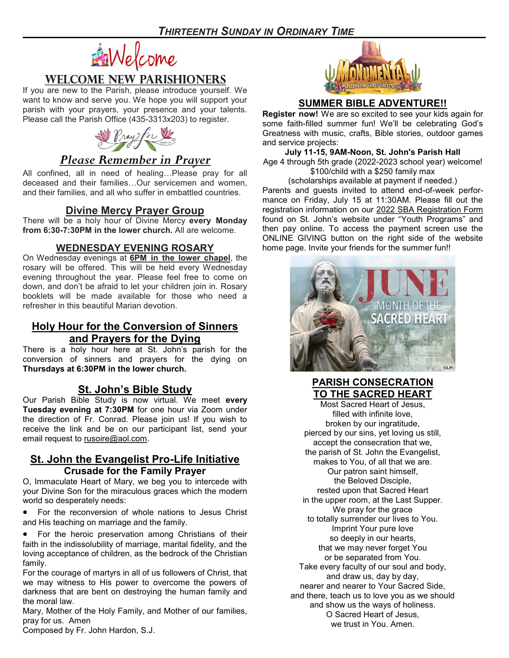

## **WELCOME NEW PARISHIONERS**

If you are new to the Parish, please introduce yourself. We want to know and serve you. We hope you will support your parish with your prayers, your presence and your talents. Please call the Parish Office (435-3313x203) to register.



# *Please Remember in Prayer*

All confined, all in need of healing…Please pray for all deceased and their families…Our servicemen and women, and their families, and all who suffer in embattled countries.

## **Divine Mercy Prayer Group**

There will be a holy hour of Divine Mercy **every Monday from 6:30-7:30PM in the lower church.** All are welcome.

#### **WEDNESDAY EVENING ROSARY**

On Wednesday evenings at **6PM in the lower chapel**, the rosary will be offered. This will be held every Wednesday evening throughout the year. Please feel free to come on down, and don't be afraid to let your children join in. Rosary booklets will be made available for those who need a refresher in this beautiful Marian devotion.

## **Holy Hour for the Conversion of Sinners and Prayers for the Dying**

There is a holy hour here at St. John's parish for the conversion of sinners and prayers for the dying on **Thursdays at 6:30PM in the lower church.**

## **St. John's Bible Study**

Our Parish Bible Study is now virtual. We meet **every Tuesday evening at 7:30PM** for one hour via Zoom under the direction of Fr. Conrad. Please join us! If you wish to receive the link and be on our participant list, send your email request to [rusoire@aol.com.](mailto:rusoire@aol.com)

#### **St. John the Evangelist Pro-Life Initiative Crusade for the Family Prayer**

O, Immaculate Heart of Mary, we beg you to intercede with your Divine Son for the miraculous graces which the modern world so desperately needs:

• For the reconversion of whole nations to Jesus Christ and His teaching on marriage and the family.

For the heroic preservation among Christians of their faith in the indissolubility of marriage, marital fidelity, and the loving acceptance of children, as the bedrock of the Christian family.

For the courage of martyrs in all of us followers of Christ, that we may witness to His power to overcome the powers of darkness that are bent on destroying the human family and the moral law.

Mary, Mother of the Holy Family, and Mother of our families, pray for us. Amen



#### **SUMMER BIBLE ADVENTURE!!**

**Register now!** We are so excited to see your kids again for some faith-filled summer fun! We'll be celebrating God's Greatness with music, crafts, Bible stories, outdoor games and service projects:

**July 11-15, 9AM-Noon, St. John's Parish Hall** Age 4 through 5th grade (2022-2023 school year) welcome! \$100/child with a \$250 family max

(scholarships available at payment if needed.) Parents and guests invited to attend end-of-week performance on Friday, July 15 at 11:30AM. Please fill out the registration information on our [2022 SBA Registration Form](https://forms.gle/jaYmcFGnnisqs1NQ8) found on St. John's website under "Youth Programs" and then pay online. To access the payment screen use the ONLINE GIVING button on the right side of the website home page. Invite your friends for the summer fun!!



## **PARISH CONSECRATION TO THE SACRED HEART**

Most Sacred Heart of Jesus, filled with infinite love, broken by our ingratitude, pierced by our sins, yet loving us still, accept the consecration that we, the parish of St. John the Evangelist, makes to You, of all that we are. Our patron saint himself, the Beloved Disciple, rested upon that Sacred Heart in the upper room, at the Last Supper. We pray for the grace to totally surrender our lives to You. Imprint Your pure love so deeply in our hearts, that we may never forget You or be separated from You. Take every faculty of our soul and body, and draw us, day by day, nearer and nearer to Your Sacred Side, and there, teach us to love you as we should and show us the ways of holiness. O Sacred Heart of Jesus, we trust in You. Amen.

Composed by Fr. John Hardon, S.J.